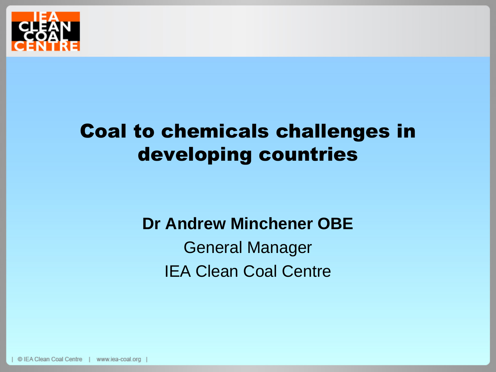

# Coal to chemicals challenges in developing countries

#### **Dr Andrew Minchener OBE**

General Manager IEA Clean Coal Centre

© IEA Clean Coal Centre www.iea-coal.org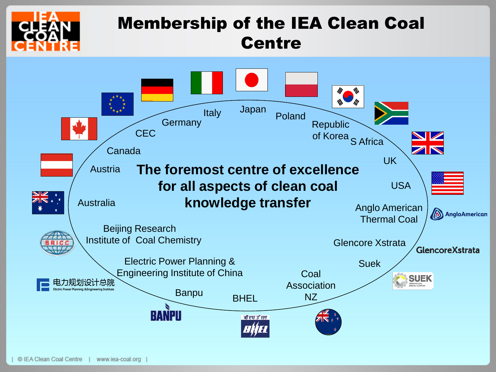

#### Membership of the IEA Clean Coal **Centre**

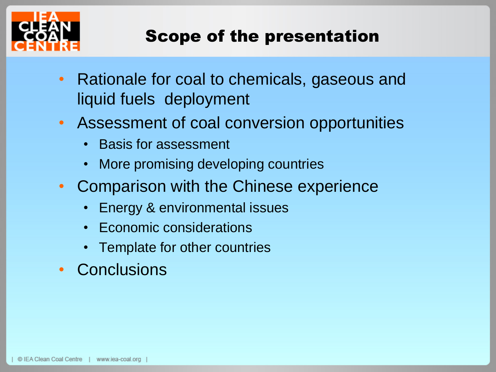

#### Scope of the presentation

- Rationale for coal to chemicals, gaseous and liquid fuels deployment
- Assessment of coal conversion opportunities
	- Basis for assessment
	- More promising developing countries
- Comparison with the Chinese experience
	- Energy & environmental issues
	- Economic considerations
	- Template for other countries
- Conclusions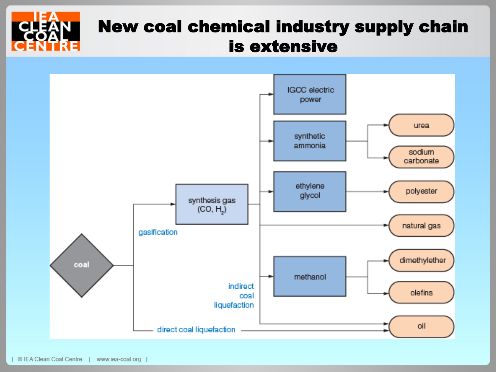# New coal chemical industry supply chain is extensive

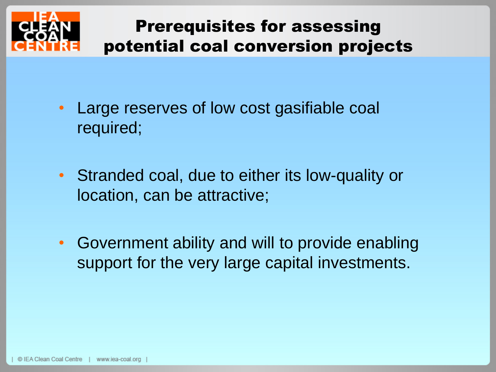

## Prerequisites for assessing potential coal conversion projects

- Large reserves of low cost gasifiable coal required;
- Stranded coal, due to either its low-quality or location, can be attractive;
- Government ability and will to provide enabling support for the very large capital investments.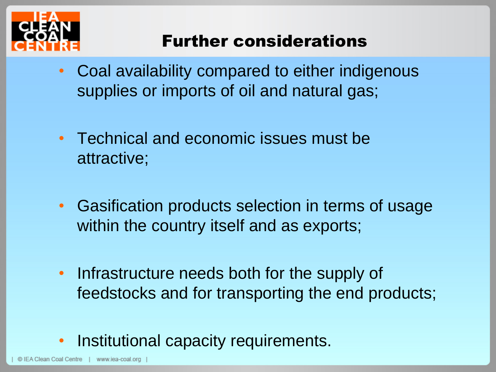

## Further considerations

- Coal availability compared to either indigenous supplies or imports of oil and natural gas;
- Technical and economic issues must be attractive;
- Gasification products selection in terms of usage within the country itself and as exports;
- Infrastructure needs both for the supply of feedstocks and for transporting the end products;

### Institutional capacity requirements.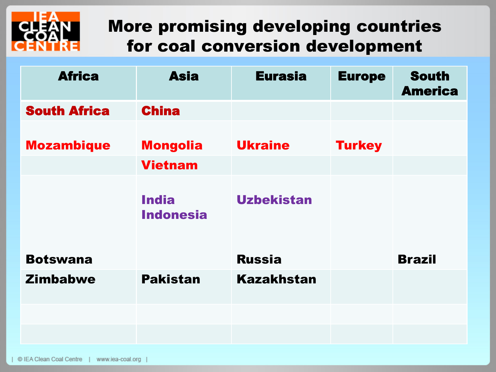

### More promising developing countries for coal conversion development

| <b>Africa</b>       | <b>Asia</b>                       | <b>Eurasia</b>    | <b>Europe</b> | <b>South</b><br><b>America</b> |
|---------------------|-----------------------------------|-------------------|---------------|--------------------------------|
| <b>South Africa</b> | <b>China</b>                      |                   |               |                                |
| <b>Mozambique</b>   | <b>Mongolia</b><br><b>Vietnam</b> | <b>Ukraine</b>    | <b>Turkey</b> |                                |
|                     |                                   |                   |               |                                |
|                     | <b>India</b><br><b>Indonesia</b>  | <b>Uzbekistan</b> |               |                                |
| <b>Botswana</b>     |                                   | <b>Russia</b>     |               | <b>Brazil</b>                  |
| <b>Zimbabwe</b>     | <b>Pakistan</b>                   | <b>Kazakhstan</b> |               |                                |
|                     |                                   |                   |               |                                |
|                     |                                   |                   |               |                                |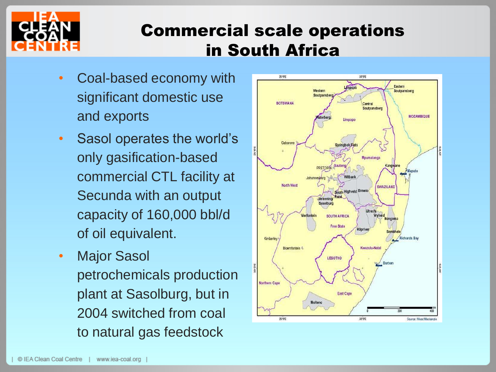

### Commercial scale operations in South Africa

- Coal-based economy with significant domestic use and exports
- Sasol operates the world's only gasification-based commercial CTL facility at Secunda with an output capacity of 160,000 bbl/d of oil equivalent.
- Major Sasol petrochemicals production plant at Sasolburg, but in 2004 switched from coal to natural gas feedstock

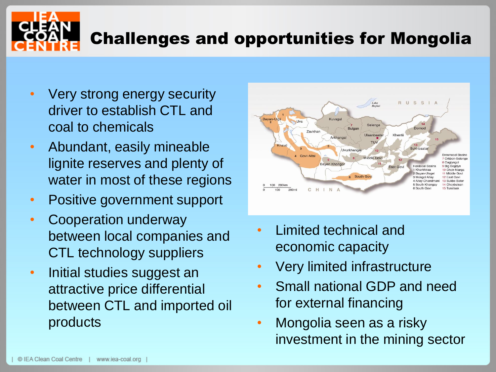

- Very strong energy security driver to establish CTL and coal to chemicals
- Abundant, easily mineable lignite reserves and plenty of water in most of these regions
- Positive government support
- Cooperation underway between local companies and CTL technology suppliers
- Initial studies suggest an attractive price differential between CTL and imported oil products



- Limited technical and economic capacity
- Very limited infrastructure
- Small national GDP and need for external financing
- Mongolia seen as a risky investment in the mining sector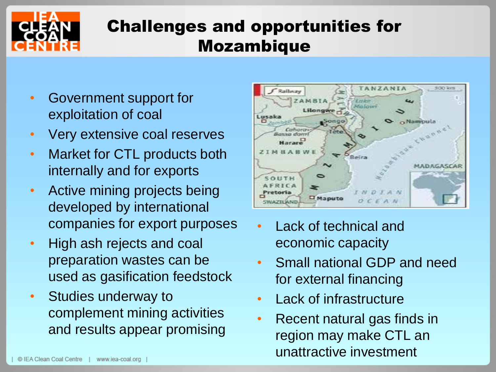

## Challenges and opportunities for Mozambique

- Government support for exploitation of coal
- Very extensive coal reserves
- Market for CTL products both internally and for exports
- Active mining projects being developed by international companies for export purposes
- High ash rejects and coal preparation wastes can be used as gasification feedstock
- Studies underway to complement mining activities and results appear promising



- Lack of technical and economic capacity
- Small national GDP and need for external financing
- Lack of infrastructure
- Recent natural gas finds in region may make CTL an unattractive investment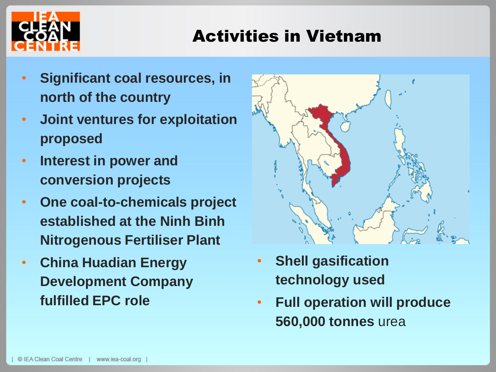

### Activities in Vietnam

- **Significant coal resources, in north of the country**
- **Joint ventures for exploitation proposed**
- **Interest in power and conversion projects**
- **One coal-to-chemicals project established at the Ninh Binh Nitrogenous Fertiliser Plant**
- **China Huadian Energy Development Company fulfilled EPC role**



- **Shell gasification technology used**
- **Full operation will produce 560,000 tonnes** urea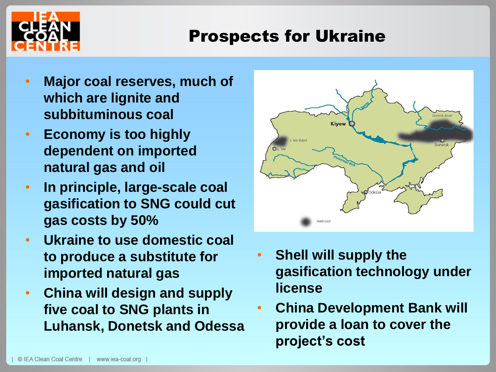

#### Prospects for Ukraine

- **Major coal reserves, much of which are lignite and subbituminous coal**
- **Economy is too highly dependent on imported natural gas and oil**
- **In principle, large-scale coal gasification to SNG could cut gas costs by 50%**
- **Ukraine to use domestic coal to produce a substitute for imported natural gas**
- **China will design and supply five coal to SNG plants in Luhansk, Donetsk and Odessa**



- **Shell will supply the gasification technology under license**
- **China Development Bank will provide a loan to cover the project's cost**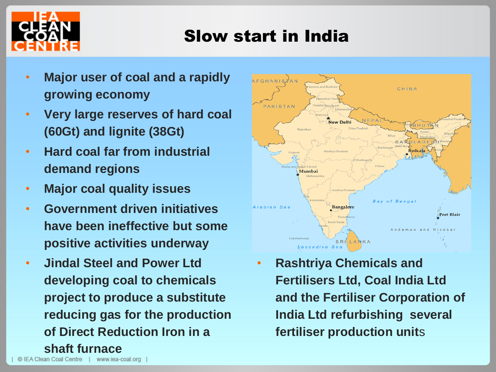

#### Slow start in India

- **Major user of coal and a rapidly growing economy**
- **Very large reserves of hard coal (60Gt) and lignite (38Gt)**
- **Hard coal far from industrial demand regions**
- **Major coal quality issues**
- **Government driven initiatives have been ineffective but some positive activities underway**
- **Jindal Steel and Power Ltd developing coal to chemicals project to produce a substitute reducing gas for the production of Direct Reduction Iron in a shaft furnace**



• **Rashtriya Chemicals and Fertilisers Ltd, Coal India Ltd and the Fertiliser Corporation of India Ltd refurbishing several fertiliser production unit**s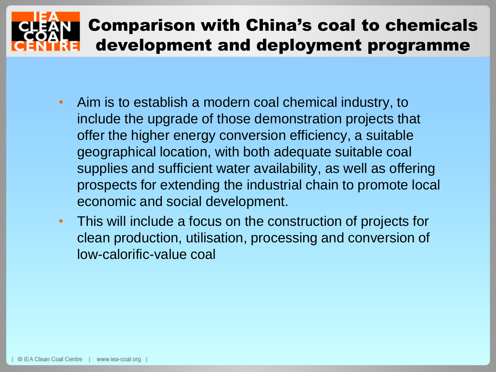# Comparison with China's coal to chemicals development and deployment programme

- Aim is to establish a modern coal chemical industry, to include the upgrade of those demonstration projects that offer the higher energy conversion efficiency, a suitable geographical location, with both adequate suitable coal supplies and sufficient water availability, as well as offering prospects for extending the industrial chain to promote local economic and social development.
- This will include a focus on the construction of projects for clean production, utilisation, processing and conversion of low-calorific-value coal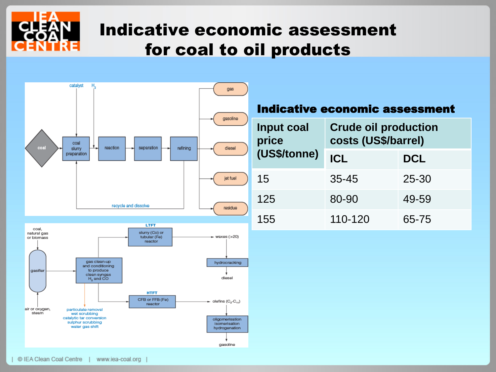

### Indicative economic assessment for coal to oil products

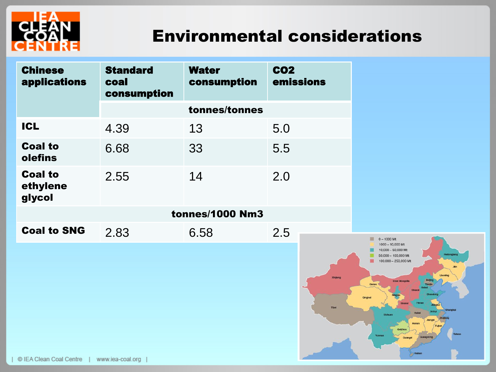

#### Environmental considerations

| <b>Chinese</b><br>applications       | <b>Standard</b><br>coal<br>consumption | <b>Water</b><br>consumption | <b>CO2</b><br>emissions |  |
|--------------------------------------|----------------------------------------|-----------------------------|-------------------------|--|
|                                      | tonnes/tonnes                          |                             |                         |  |
| <b>ICL</b>                           | 4.39                                   | 13                          | 5.0                     |  |
| <b>Coal to</b><br>olefins            | 6.68                                   | 33                          | 5.5                     |  |
| <b>Coal to</b><br>ethylene<br>glycol | 2.55                                   | 14                          | 2.0                     |  |
|                                      | <b>tonnes/1000 Nm3</b>                 |                             |                         |  |
| <b>Coal to SNG</b>                   | 2.83                                   | 6.58                        | 2.5                     |  |

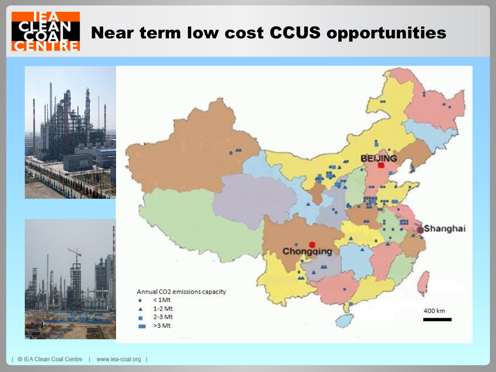